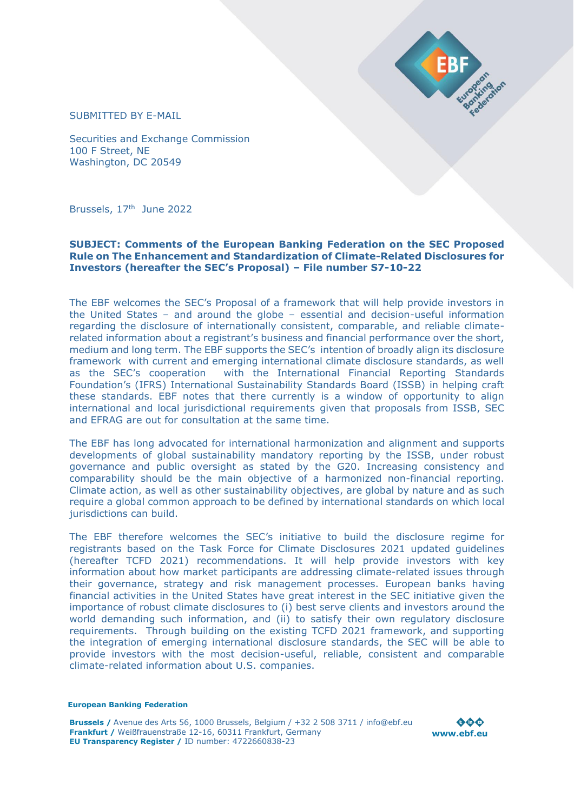

SUBMITTED BY E-MAIL

Securities and Exchange Commission 100 F Street, NE Washington, DC 20549

Brussels, 17<sup>th</sup> June 2022

#### **SUBJECT: Comments of the European Banking Federation on the SEC Proposed Rule on The Enhancement and Standardization of Climate-Related Disclosures for Investors (hereafter the SEC's Proposal) – File number S7-10-22**

The EBF welcomes the SEC's Proposal of a framework that will help provide investors in the United States – and around the globe – essential and decision-useful information regarding the disclosure of internationally consistent, comparable, and reliable climaterelated information about a registrant's business and financial performance over the short, medium and long term. The EBF supports the SEC's intention of broadly align its disclosure framework with current and emerging international climate disclosure standards, as well as the SEC's cooperation with the International Financial Reporting Standards Foundation's (IFRS) International Sustainability Standards Board (ISSB) in helping craft these standards. EBF notes that there currently is a window of opportunity to align international and local jurisdictional requirements given that proposals from ISSB, SEC and EFRAG are out for consultation at the same time.

The EBF has long advocated for international harmonization and alignment and supports developments of global sustainability mandatory reporting by the ISSB, under robust governance and public oversight as stated by the G20. Increasing consistency and comparability should be the main objective of a harmonized non-financial reporting. Climate action, as well as other sustainability objectives, are global by nature and as such require a global common approach to be defined by international standards on which local jurisdictions can build.

The EBF therefore welcomes the SEC's initiative to build the disclosure regime for registrants based on the Task Force for Climate Disclosures 2021 updated guidelines (hereafter TCFD 2021) recommendations. It will help provide investors with key information about how market participants are addressing climate-related issues through their governance, strategy and risk management processes. European banks having financial activities in the United States have great interest in the SEC initiative given the importance of robust climate disclosures to (i) best serve clients and investors around the world demanding such information, and (ii) to satisfy their own regulatory disclosure requirements. Through building on the existing TCFD 2021 framework, and supporting the integration of emerging international disclosure standards, the SEC will be able to provide investors with the most decision-useful, reliable, consistent and comparable climate-related information about U.S. companies.

#### **European Banking Federation**

**Brussels /** Avenue des Arts 56, 1000 Brussels, Belgium / +32 2 508 3711 / info@ebf.eu **Frankfurt /** Weißfrauenstraße 12-16, 60311 Frankfurt, Germany **EU Transparency Register /** ID number: 4722660838-23

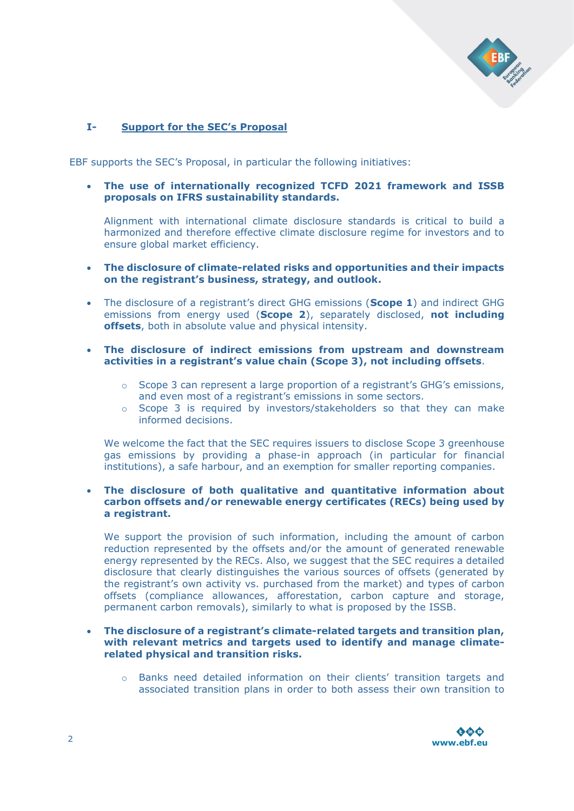

# **I- Support for the SEC's Proposal**

EBF supports the SEC's Proposal, in particular the following initiatives:

• **The use of internationally recognized TCFD 2021 framework and ISSB proposals on IFRS sustainability standards.**

Alignment with international climate disclosure standards is critical to build a harmonized and therefore effective climate disclosure regime for investors and to ensure global market efficiency.

- **The disclosure of climate-related risks and opportunities and their impacts on the registrant's business, strategy, and outlook.**
- The disclosure of a registrant's direct GHG emissions (**Scope 1**) and indirect GHG emissions from energy used (**Scope 2**), separately disclosed, **not including offsets**, both in absolute value and physical intensity.
- **The disclosure of indirect emissions from upstream and downstream activities in a registrant's value chain (Scope 3), not including offsets**.
	- o Scope 3 can represent a large proportion of a registrant's GHG's emissions, and even most of a registrant's emissions in some sectors.
	- o Scope 3 is required by investors/stakeholders so that they can make informed decisions.

We welcome the fact that the SEC requires issuers to disclose Scope 3 greenhouse gas emissions by providing a phase-in approach (in particular for financial institutions), a safe harbour, and an exemption for smaller reporting companies.

#### • **The disclosure of both qualitative and quantitative information about carbon offsets and/or renewable energy certificates (RECs) being used by a registrant.**

We support the provision of such information, including the amount of carbon reduction represented by the offsets and/or the amount of generated renewable energy represented by the RECs. Also, we suggest that the SEC requires a detailed disclosure that clearly distinguishes the various sources of offsets (generated by the registrant's own activity vs. purchased from the market) and types of carbon offsets (compliance allowances, afforestation, carbon capture and storage, permanent carbon removals), similarly to what is proposed by the ISSB.

- **The disclosure of a registrant's climate-related targets and transition plan, with relevant metrics and targets used to identify and manage climaterelated physical and transition risks.** 
	- o Banks need detailed information on their clients' transition targets and associated transition plans in order to both assess their own transition to

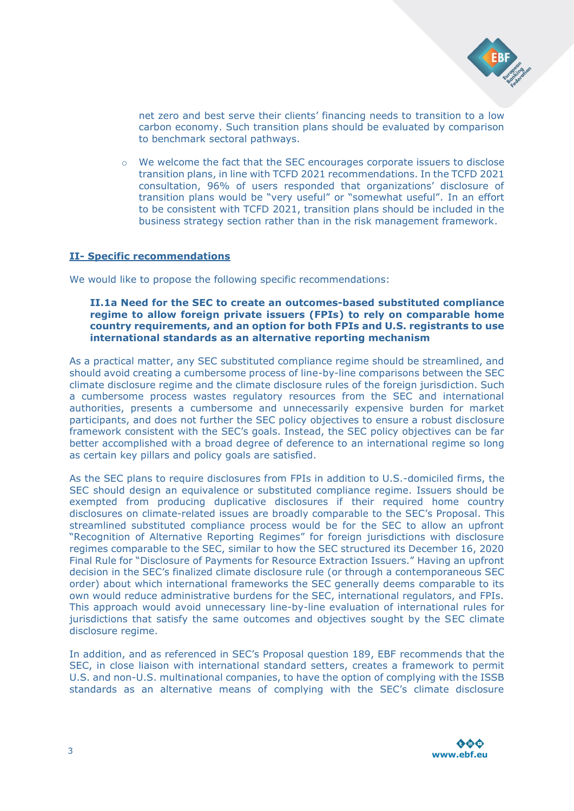

net zero and best serve their clients' financing needs to transition to a low carbon economy. Such transition plans should be evaluated by comparison to benchmark sectoral pathways.

o We welcome the fact that the SEC encourages corporate issuers to disclose transition plans, in line with TCFD 2021 recommendations. In the TCFD 2021 consultation, 96% of users responded that organizations' disclosure of transition plans would be "very useful" or "somewhat useful". In an effort to be consistent with TCFD 2021, transition plans should be included in the business strategy section rather than in the risk management framework.

### **II- Specific recommendations**

We would like to propose the following specific recommendations:

### **II.1a Need for the SEC to create an outcomes-based substituted compliance regime to allow foreign private issuers (FPIs) to rely on comparable home country requirements, and an option for both FPIs and U.S. registrants to use international standards as an alternative reporting mechanism**

As a practical matter, any SEC substituted compliance regime should be streamlined, and should avoid creating a cumbersome process of line-by-line comparisons between the SEC climate disclosure regime and the climate disclosure rules of the foreign jurisdiction. Such a cumbersome process wastes regulatory resources from the SEC and international authorities, presents a cumbersome and unnecessarily expensive burden for market participants, and does not further the SEC policy objectives to ensure a robust disclosure framework consistent with the SEC's goals. Instead, the SEC policy objectives can be far better accomplished with a broad degree of deference to an international regime so long as certain key pillars and policy goals are satisfied.

As the SEC plans to require disclosures from FPIs in addition to U.S.-domiciled firms, the SEC should design an equivalence or substituted compliance regime. Issuers should be exempted from producing duplicative disclosures if their required home country disclosures on climate-related issues are broadly comparable to the SEC's Proposal. This streamlined substituted compliance process would be for the SEC to allow an upfront "Recognition of Alternative Reporting Regimes" for foreign jurisdictions with disclosure regimes comparable to the SEC, similar to how the SEC structured its December 16, 2020 Final Rule for "Disclosure of Payments for Resource Extraction Issuers." Having an upfront decision in the SEC's finalized climate disclosure rule (or through a contemporaneous SEC order) about which international frameworks the SEC generally deems comparable to its own would reduce administrative burdens for the SEC, international regulators, and FPIs. This approach would avoid unnecessary line-by-line evaluation of international rules for jurisdictions that satisfy the same outcomes and objectives sought by the SEC climate disclosure regime.

In addition, and as referenced in SEC's Proposal question 189, EBF recommends that the SEC, in close liaison with international standard setters, creates a framework to permit U.S. and non-U.S. multinational companies, to have the option of complying with the ISSB standards as an alternative means of complying with the SEC's climate disclosure

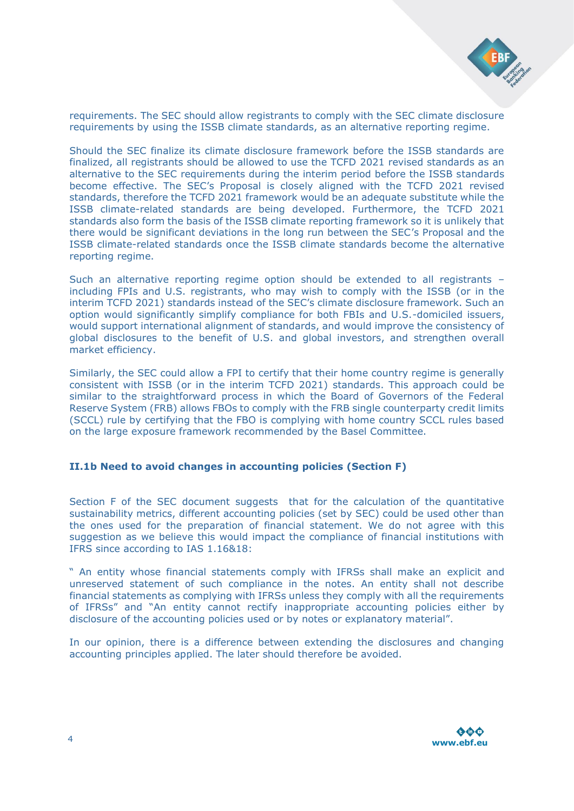

requirements. The SEC should allow registrants to comply with the SEC climate disclosure requirements by using the ISSB climate standards, as an alternative reporting regime.

Should the SEC finalize its climate disclosure framework before the ISSB standards are finalized, all registrants should be allowed to use the TCFD 2021 revised standards as an alternative to the SEC requirements during the interim period before the ISSB standards become effective. The SEC's Proposal is closely aligned with the TCFD 2021 revised standards, therefore the TCFD 2021 framework would be an adequate substitute while the ISSB climate-related standards are being developed. Furthermore, the TCFD 2021 standards also form the basis of the ISSB climate reporting framework so it is unlikely that there would be significant deviations in the long run between the SEC's Proposal and the ISSB climate-related standards once the ISSB climate standards become the alternative reporting regime.

Such an alternative reporting regime option should be extended to all registrants – including FPIs and U.S. registrants, who may wish to comply with the ISSB (or in the interim TCFD 2021) standards instead of the SEC's climate disclosure framework. Such an option would significantly simplify compliance for both FBIs and U.S.-domiciled issuers, would support international alignment of standards, and would improve the consistency of global disclosures to the benefit of U.S. and global investors, and strengthen overall market efficiency.

Similarly, the SEC could allow a FPI to certify that their home country regime is generally consistent with ISSB (or in the interim TCFD 2021) standards. This approach could be similar to the straightforward process in which the Board of Governors of the Federal Reserve System (FRB) allows FBOs to comply with the FRB single counterparty credit limits (SCCL) rule by certifying that the FBO is complying with home country SCCL rules based on the large exposure framework recommended by the Basel Committee.

### **II.1b Need to avoid changes in accounting policies (Section F)**

Section F of the SEC document suggests that for the calculation of the quantitative sustainability metrics, different accounting policies (set by SEC) could be used other than the ones used for the preparation of financial statement. We do not agree with this suggestion as we believe this would impact the compliance of financial institutions with IFRS since according to IAS 1.16&18:

" An entity whose financial statements comply with IFRSs shall make an explicit and unreserved statement of such compliance in the notes. An entity shall not describe financial statements as complying with IFRSs unless they comply with all the requirements of IFRSs" and "An entity cannot rectify inappropriate accounting policies either by disclosure of the accounting policies used or by notes or explanatory material".

In our opinion, there is a difference between extending the disclosures and changing accounting principles applied. The later should therefore be avoided.